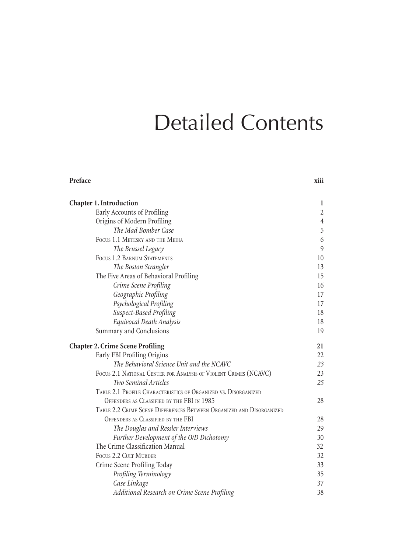## Detailed Contents

| Chapter 1. Introduction                                              | 1              |
|----------------------------------------------------------------------|----------------|
| Early Accounts of Profiling                                          | $\overline{c}$ |
| Origins of Modern Profiling                                          | $\,4\,$        |
| The Mad Bomber Case                                                  | 5              |
| FOCUS 1.1 METESKY AND THE MEDIA                                      | 6              |
| The Brussel Legacy                                                   | 9              |
| FOCUS 1.2 BARNUM STATEMENTS                                          | 10             |
| The Boston Strangler                                                 | 13             |
| The Five Areas of Behavioral Profiling                               | 15             |
| Crime Scene Profiling                                                | 16             |
| Geographic Profiling                                                 | 17             |
| Psychological Profiling                                              | 17             |
| Suspect-Based Profiling                                              | 18             |
| Equivocal Death Analysis                                             | 18             |
| Summary and Conclusions                                              | 19             |
| <b>Chapter 2. Crime Scene Profiling</b>                              | 21             |
| Early FBI Profiling Origins                                          | 22             |
| The Behavioral Science Unit and the NCAVC                            | 23             |
| FOCUS 2.1 NATIONAL CENTER FOR ANALYSIS OF VIOLENT CRIMES (NCAVC)     | 23             |
| Two Seminal Articles                                                 | 25             |
| TABLE 2.1 PROFILE CHARACTERISTICS OF ORGANIZED VS. DISORGANIZED      |                |
| OFFENDERS AS CLASSIFIED BY THE FBI IN 1985                           | 28             |
| TABLE 2.2 CRIME SCENE DIFFERENCES BETWEEN ORGANIZED AND DISORGANIZED |                |
| OFFENDERS AS CLASSIFIED BY THE FBI                                   | 28             |
| The Douglas and Ressler Interviews                                   | 29             |
| Further Development of the O/D Dichotomy                             | 30             |
| The Crime Classification Manual                                      | 32             |
| <b>FOCUS 2.2 CULT MURDER</b>                                         | 32             |
| Crime Scene Profiling Today                                          | 33             |
| Profiling Terminology                                                | 35             |
| Case Linkage                                                         | 37             |
| Additional Research on Crime Scene Profiling                         | 38             |

**Preface xiii**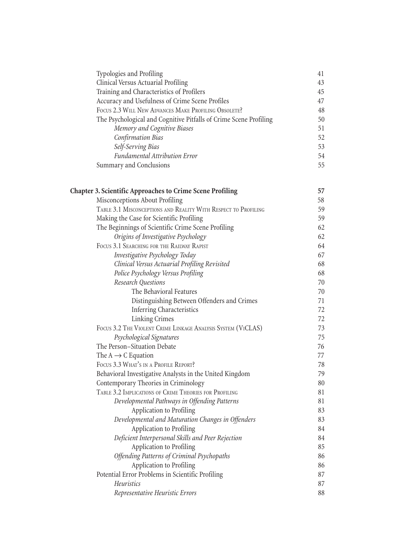| Typologies and Profiling                                          | 41 |
|-------------------------------------------------------------------|----|
| Clinical Versus Actuarial Profiling                               | 43 |
| Training and Characteristics of Profilers                         | 45 |
| Accuracy and Usefulness of Crime Scene Profiles                   | 47 |
| FOCUS 2.3 WILL NEW ADVANCES MAKE PROFILING OBSOLETE?              | 48 |
| The Psychological and Cognitive Pitfalls of Crime Scene Profiling | 50 |
| Memory and Cognitive Biases                                       | 51 |
| Confirmation Bias                                                 | 52 |
| Self-Serving Bias                                                 | 53 |
| <b>Fundamental Attribution Error</b>                              | 54 |
| Summary and Conclusions                                           | 55 |

| <b>Chapter 3. Scientific Approaches to Crime Scene Profiling</b> | 57 |
|------------------------------------------------------------------|----|
| Misconceptions About Profiling                                   | 58 |
| TABLE 3.1 MISCONCEPTIONS AND REALITY WITH RESPECT TO PROFILING   | 59 |
| Making the Case for Scientific Profiling                         | 59 |
| The Beginnings of Scientific Crime Scene Profiling               | 62 |
| Origins of Investigative Psychology                              | 62 |
| FOCUS 3.1 SEARCHING FOR THE RAILWAY RAPIST                       | 64 |
| Investigative Psychology Today                                   | 67 |
| Clinical Versus Actuarial Profiling Revisited                    | 68 |
| Police Psychology Versus Profiling                               | 68 |
| <b>Research Questions</b>                                        | 70 |
| The Behavioral Features                                          | 70 |
| Distinguishing Between Offenders and Crimes                      | 71 |
| <b>Inferring Characteristics</b>                                 | 72 |
| Linking Crimes                                                   | 72 |
| FOCUS 3.2 THE VIOLENT CRIME LINKAGE ANALYSIS SYSTEM (VICLAS)     | 73 |
| Psychological Signatures                                         | 75 |
| The Person-Situation Debate                                      | 76 |
| The $A \rightarrow C$ Equation                                   | 77 |
| FOCUS 3.3 WHAT'S IN A PROFILE REPORT?                            | 78 |
| Behavioral Investigative Analysts in the United Kingdom          | 79 |
| Contemporary Theories in Criminology                             | 80 |
| TABLE 3.2 IMPLICATIONS OF CRIME THEORIES FOR PROFILING           | 81 |
| Developmental Pathways in Offending Patterns                     | 81 |
| Application to Profiling                                         | 83 |
| Developmental and Maturation Changes in Offenders                | 83 |
| Application to Profiling                                         | 84 |
| Deficient Interpersonal Skills and Peer Rejection                | 84 |
| Application to Profiling                                         | 85 |
| Offending Patterns of Criminal Psychopaths                       | 86 |
| Application to Profiling                                         | 86 |
| Potential Error Problems in Scientific Profiling                 | 87 |
| <b>Heuristics</b>                                                | 87 |
| Representative Heuristic Errors                                  | 88 |
|                                                                  |    |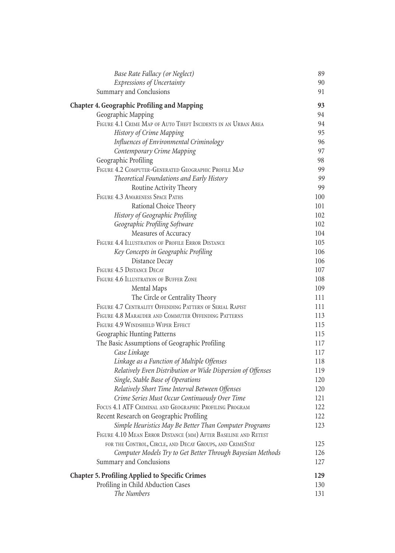| Base Rate Fallacy (or Neglect)                                                              | 89         |
|---------------------------------------------------------------------------------------------|------------|
| <b>Expressions of Uncertainty</b>                                                           | 90         |
| Summary and Conclusions                                                                     | 91         |
| <b>Chapter 4. Geographic Profiling and Mapping</b>                                          | 93         |
| Geographic Mapping                                                                          | 94         |
| FIGURE 4.1 CRIME MAP OF AUTO THEFT INCIDENTS IN AN URBAN AREA                               | 94         |
| History of Crime Mapping                                                                    | 95         |
| Influences of Environmental Criminology                                                     | 96         |
| Contemporary Crime Mapping                                                                  | 97         |
| Geographic Profiling                                                                        | 98         |
| FIGURE 4.2 COMPUTER-GENERATED GEOGRAPHIC PROFILE MAP                                        | 99         |
| Theoretical Foundations and Early History                                                   | 99         |
| Routine Activity Theory                                                                     | 99         |
| FIGURE 4.3 AWARENESS SPACE PATHS                                                            | 100        |
| Rational Choice Theory                                                                      | 101        |
| History of Geographic Profiling                                                             | 102        |
| Geographic Profiling Software                                                               | 102        |
| Measures of Accuracy                                                                        | 104        |
| FIGURE 4.4 ILLUSTRATION OF PROFILE ERROR DISTANCE                                           | 105        |
| Key Concepts in Geographic Profiling                                                        | 106        |
| Distance Decay                                                                              | 106        |
| FIGURE 4.5 DISTANCE DECAY                                                                   | 107        |
| FIGURE 4.6 ILLUSTRATION OF BUFFER ZONE                                                      | 108        |
| Mental Maps                                                                                 | 109        |
| The Circle or Centrality Theory<br>FIGURE 4.7 CENTRALITY OFFENDING PATTERN OF SERIAL RAPIST | 111        |
| FIGURE 4.8 MARAUDER AND COMMUTER OFFENDING PATTERNS                                         | 111        |
| FIGURE 4.9 WINDSHIELD WIPER EFFECT                                                          | 113<br>115 |
| Geographic Hunting Patterns                                                                 | 115        |
| The Basic Assumptions of Geographic Profiling                                               | 117        |
| Case Linkage                                                                                | 117        |
| Linkage as a Function of Multiple Offenses                                                  | 118        |
| Relatively Even Distribution or Wide Dispersion of Offenses                                 | 119        |
| Single, Stable Base of Operations                                                           | 120        |
| Relatively Short Time Interval Between Offenses                                             | 120        |
| Crime Series Must Occur Continuously Over Time                                              | 121        |
| FOCUS 4.1 ATF CRIMINAL AND GEOGRAPHIC PROFILING PROGRAM                                     | 122        |
| Recent Research on Geographic Profiling                                                     | 122        |
| Simple Heuristics May Be Better Than Computer Programs                                      | 123        |
| FIGURE 4.10 MEAN ERROR DISTANCE (MM) AFTER BASELINE AND RETEST                              |            |
| FOR THE CONTROL, CIRCLE, AND DECAY GROUPS, AND CRIMESTAT                                    | 125        |
| Computer Models Try to Get Better Through Bayesian Methods                                  | 126        |
| Summary and Conclusions                                                                     | 127        |
| <b>Chapter 5. Profiling Applied to Specific Crimes</b>                                      | 129        |
| Profiling in Child Abduction Cases                                                          | 130        |
| The Numbers                                                                                 | 131        |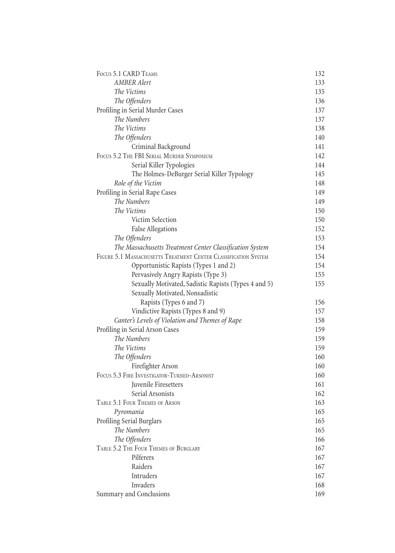| FOCUS 5.1 CARD TEAMS                                            | 132 |
|-----------------------------------------------------------------|-----|
| <b>AMBER Alert</b>                                              | 133 |
| The Victims                                                     | 135 |
| The Offenders                                                   | 136 |
| Profiling in Serial Murder Cases                                | 137 |
| The Numbers                                                     | 137 |
| The Victims                                                     | 138 |
| The Offenders                                                   | 140 |
| Criminal Background                                             | 141 |
| FOCUS 5.2 THE FBI SERIAL MURDER SYMPOSIUM                       | 142 |
| Serial Killer Typologies                                        | 144 |
| The Holmes-DeBurger Serial Killer Typology                      | 145 |
| Role of the Victim                                              | 148 |
| Profiling in Serial Rape Cases                                  | 149 |
| The Numbers                                                     | 149 |
| The Victims                                                     | 150 |
| Victim Selection                                                | 150 |
| <b>False Allegations</b>                                        | 152 |
| The Offenders                                                   | 153 |
| The Massachusetts Treatment Center Classification System        | 154 |
| FIGURE 5.1 MASSACHUSETTS TREATMENT CENTER CLASSIFICATION SYSTEM | 154 |
| Opportunistic Rapists (Types 1 and 2)                           | 154 |
| Pervasively Angry Rapists (Type 3)                              | 155 |
| Sexually Motivated, Sadistic Rapists (Types 4 and 5)            | 155 |
| Sexually Motivated, Nonsadistic                                 |     |
| Rapists (Types 6 and 7)                                         | 156 |
| Vindictive Rapists (Types 8 and 9)                              | 157 |
| Canter's Levels of Violation and Themes of Rape                 | 158 |
| Profiling in Serial Arson Cases                                 | 159 |
| The Numbers                                                     | 159 |
| The Victims                                                     | 159 |
| The Offenders                                                   | 160 |
| Firefighter Arson                                               | 160 |
| FOCUS 5.3 FIRE INVESTIGATOR-TURNED-ARSONIST                     | 160 |
| Juvenile Firesetters                                            | 161 |
| Serial Arsonists                                                | 162 |
| TABLE 5.1 FOUR THEMES OF ARSON                                  | 163 |
| Pyromania                                                       | 165 |
| Profiling Serial Burglars                                       | 165 |
| The Numbers                                                     | 165 |
| The Offenders                                                   | 166 |
| TABLE 5.2 THE FOUR THEMES OF BURGLARY                           | 167 |
| Pilferers                                                       | 167 |
| Raiders                                                         | 167 |
| Intruders                                                       | 167 |
| Invaders                                                        | 168 |
| Summary and Conclusions                                         | 169 |
|                                                                 |     |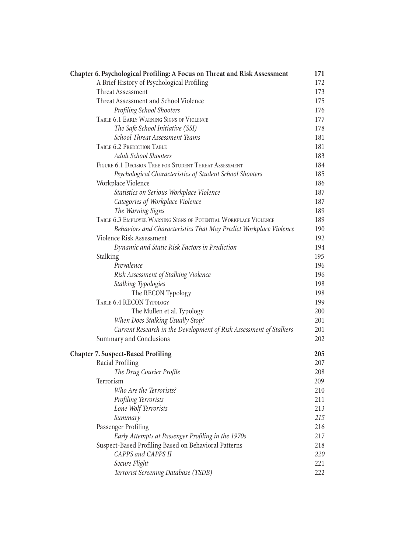| Chapter 6. Psychological Profiling: A Focus on Threat and Risk Assessment | 171 |
|---------------------------------------------------------------------------|-----|
| A Brief History of Psychological Profiling                                | 172 |
| Threat Assessment                                                         | 173 |
| Threat Assessment and School Violence                                     | 175 |
| <b>Profiling School Shooters</b>                                          | 176 |
| TABLE 6.1 EARLY WARNING SIGNS OF VIOLENCE                                 | 177 |
| The Safe School Initiative (SSI)                                          | 178 |
| School Threat Assessment Teams                                            | 181 |
| TABLE 6.2 PREDICTION TABLE                                                | 181 |
| <b>Adult School Shooters</b>                                              | 183 |
| FIGURE 6.1 DECISION TREE FOR STUDENT THREAT ASSESSMENT                    | 184 |
| Psychological Characteristics of Student School Shooters                  | 185 |
| Workplace Violence                                                        | 186 |
| Statistics on Serious Workplace Violence                                  | 187 |
| Categories of Workplace Violence                                          | 187 |
| The Warning Signs                                                         | 189 |
| TABLE 6.3 EMPLOYEE WARNING SIGNS OF POTENTIAL WORKPLACE VIOLENCE          | 189 |
| Behaviors and Characteristics That May Predict Workplace Violence         | 190 |
| Violence Risk Assessment                                                  | 192 |
| Dynamic and Static Risk Factors in Prediction                             | 194 |
| Stalking                                                                  | 195 |
| Prevalence                                                                | 196 |
| Risk Assessment of Stalking Violence                                      | 196 |
| <b>Stalking Typologies</b>                                                | 198 |
| The RECON Typology                                                        | 198 |
| TABLE 6.4 RECON TYPOLOGY                                                  | 199 |
| The Mullen et al. Typology                                                | 200 |
| When Does Stalking Usually Stop?                                          | 201 |
| Current Research in the Development of Risk Assessment of Stalkers        | 201 |
| Summary and Conclusions                                                   | 202 |
| <b>Chapter 7. Suspect-Based Profiling</b>                                 | 205 |
| Racial Profiling                                                          | 207 |
| The Drug Courier Profile                                                  | 208 |
| Terrorism                                                                 | 209 |
| Who Are the Terrorists?                                                   | 210 |
| Profiling Terrorists                                                      | 211 |
| Lone Wolf Terrorists                                                      | 213 |
| Summary                                                                   | 215 |
| Passenger Profiling                                                       | 216 |
| Early Attempts at Passenger Profiling in the 1970s                        | 217 |
| Suspect-Based Profiling Based on Behavioral Patterns                      | 218 |
| CAPPS and CAPPS II                                                        | 220 |
| Secure Flight                                                             | 221 |
| Terrorist Screening Database (TSDB)                                       | 222 |
|                                                                           |     |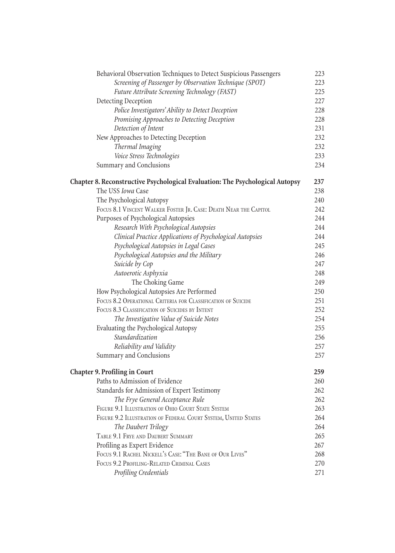| Behavioral Observation Techniques to Detect Suspicious Passengers             | 223 |
|-------------------------------------------------------------------------------|-----|
| Screening of Passenger by Observation Technique (SPOT)                        | 223 |
| Future Attribute Screening Technology (FAST)                                  | 225 |
| Detecting Deception                                                           | 227 |
| Police Investigators' Ability to Detect Deception                             | 228 |
| Promising Approaches to Detecting Deception                                   | 228 |
| Detection of Intent                                                           | 231 |
| New Approaches to Detecting Deception                                         | 232 |
| Thermal Imaging                                                               | 232 |
| Voice Stress Technologies                                                     | 233 |
| Summary and Conclusions                                                       | 234 |
| Chapter 8. Reconstructive Psychological Evaluation: The Psychological Autopsy | 237 |
| The USS Iowa Case                                                             | 238 |
| The Psychological Autopsy                                                     | 240 |
| FOCUS 8.1 VINCENT WALKER FOSTER JR. CASE: DEATH NEAR THE CAPITOL              | 242 |
| Purposes of Psychological Autopsies                                           | 244 |
| Research With Psychological Autopsies                                         | 244 |
| Clinical Practice Applications of Psychological Autopsies                     | 244 |
| Psychological Autopsies in Legal Cases                                        | 245 |
| Psychological Autopsies and the Military                                      | 246 |
| Suicide by Cop                                                                | 247 |
| Autoerotic Asphyxia                                                           | 248 |
| The Choking Game                                                              | 249 |
| How Psychological Autopsies Are Performed                                     | 250 |
| FOCUS 8.2 OPERATIONAL CRITERIA FOR CLASSIFICATION OF SUICIDE                  | 251 |
| FOCUS 8.3 CLASSIFICATION OF SUICIDES BY INTENT                                | 252 |
| The Investigative Value of Suicide Notes                                      | 254 |
| Evaluating the Psychological Autopsy                                          | 255 |
| Standardization                                                               | 256 |
| Reliability and Validity                                                      | 257 |
| Summary and Conclusions                                                       | 257 |
| <b>Chapter 9. Profiling in Court</b>                                          | 259 |
| Paths to Admission of Evidence                                                | 260 |
| Standards for Admission of Expert Testimony                                   | 262 |
| The Frye General Acceptance Rule                                              | 262 |
| FIGURE 9.1 ILLUSTRATION OF OHIO COURT STATE SYSTEM                            | 263 |
| FIGURE 9.2 ILLUSTRATION OF FEDERAL COURT SYSTEM, UNITED STATES                | 264 |
| The Daubert Trilogy                                                           | 264 |
| TABLE 9.1 FRYE AND DAUBERT SUMMARY                                            | 265 |
| Profiling as Expert Evidence                                                  | 267 |
| FOCUS 9.1 RACHEL NICKELL'S CASE: "THE BANE OF OUR LIVES"                      | 268 |
| FOCUS 9.2 PROFILING-RELATED CRIMINAL CASES                                    | 270 |
| Profiling Credentials                                                         | 271 |
|                                                                               |     |